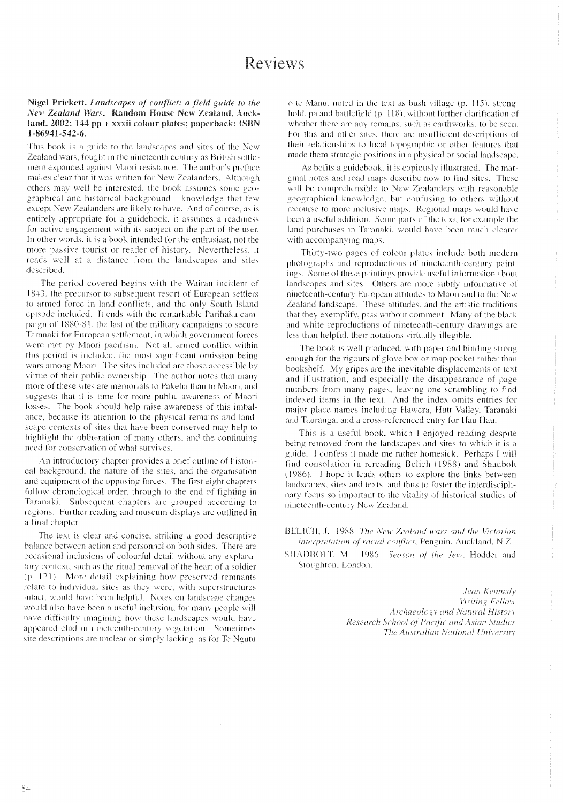## Nigel Prickett, Landscapes of conflict: a field guide to the New Zealand Wars, Random House New Zealand, Auckland,  $2002$ ; 144 pp + xxxii colour plates; paperback; ISBN 1-86941-542-6.

This book is a guide to the landscapes and sites of the New Zealand wars, fought in the nineteenth century as British settlement expanded against Maori resistance. The author's preface makes clear that it was written for New Zealanders. Although others may well be interested, the book assumes some geographical and historical background - knowledge that few except New Zealanders are likely to have. And of course, as is entirely appropriate for a guidebook, it assumes a readiness for active engagement with its subject on the part of the user. In other words, it is a book intended for the enthusiast, not the more passive tourist or reader of history. Nevertheless, it reads well at a distance from the landscapes and sites described.

The period covered begins with the Wairau incident of 1843, the precursor to subsequent resort of European settlers to armed force in land conflicts, and the only South Island episode included. It ends with the remarkable Parihaka campaign of 1880-81, the last of the military campaigns to secure Taranaki for European settlement, in which government forces were met by Maori pacifism. Not all armed conflict within this period is included, the most significant omission being wars among Maori. The sites included are those accessible by virtue of their public ownership. The author notes that many more of these sites are memorials to Pakeha than to Maori, and suggests that it is time for more public awareness of Maori losses. The book should help raise awareness of this imbalance, because its attention to the physical remains and landscape contexts of sites that have been conserved may help to highlight the obliteration of many others, and the continuing need for conservation of what survives.

An introductory chapter provides a brief outline of historical background, the nature of the sites, and the organisation and equipment of the opposing forces. The first eight chapters follow chronological order, through to the end of fighting in Taranaki. Subsequent chapters are grouped according to regions. Further reading and museum displays are outlined in a final chapter.

The text is clear and concise, striking a good descriptive balance between action and personnel on both sides. There are occasional inclusions of colourful detail without any explanatory context, such as the ritual removal of the heart of a soldier (p. 121). More detail explaining how preserved remnants relate to individual sites as they were, with superstructures intact, would have been helpful. Notes on landscape changes would also have been a useful inclusion, for many people will have difficulty imagining how these landscapes would have appeared clad in nineteenth-century vegetation. Sometimes site descriptions are unclear or simply lacking, as for Te Ngutu

o te Manu, noted in the text as bush village (p. 115), stronghold, pa and battlefield (p. 118), without further clarification of whether there are any remains, such as earthworks, to be seen. For this and other sites, there are insufficient descriptions of their relationships to local topographic or other features that made them strategic positions in a physical or social landscape.

As befits a guidebook, it is copiously illustrated. The marginal notes and road maps describe how to find sites. These will be comprehensible to New Zealanders with reasonable geographical knowledge, but confusing to others without recourse to more inclusive maps. Regional maps would have been a useful addition. Some parts of the text, for example the land purchases in Taranaki, would have been much clearer with accompanying maps.

Thirty-two pages of colour plates include both modern photographs and reproductions of nineteenth-century paintings. Some of these paintings provide useful information about landscapes and sites. Others are more subtly informative of nineteenth-century European attitudes to Maori and to the New Zealand landscape. These attitudes, and the artistic traditions that they exemplify, pass without comment. Many of the black and white reproductions of nineteenth-century drawings are less than helpful, their notations virtually illegible.

The book is well produced, with paper and binding strong enough for the rigours of glove box or map pocket rather than bookshelf. My gripes are the inevitable displacements of text and illustration, and especially the disappearance of page numbers from many pages, leaving one scrambling to find indexed items in the text. And the index omits entries for major place names including Hawera, Hutt Valley, Taranaki and Tauranga, and a cross-referenced entry for Hau Hau.

This is a useful book, which I enjoyed reading despite being removed from the landscapes and sites to which it is a guide. I confess it made me rather homesick. Perhaps I will find consolation in rereading Belich (1988) and Shadbolt (1986). I hope it leads others to explore the links between landscapes, sites and texts, and thus to foster the interdisciplinary focus so important to the vitality of historical studies of nineteenth-century New Zealand.

BELICH, J. 1988 The New Zealand wars and the Victorian interpretation of racial conflict, Penguin, Auckland, N.Z.

SHADBOLT, M. 1986 Season of the Jew, Hodder and Stoughton, London.

> Jean Kennedy Visiting Fellow Archaeology and Natural History Research School of Pacific and Asian Studies The Australian National University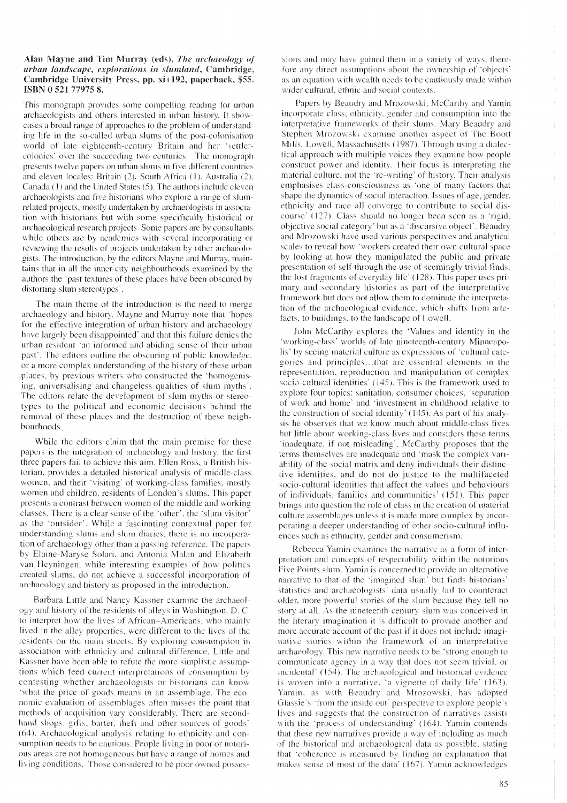## Alan Mayne and Tim Murray (eds), The archaeology of urban landscape, explorations in slumland, Cambridge, Cambridge University Press, pp. xi+192, paperback, \$55. ISBN 0521779758.

This monograph provides some compelling reading for urban archaeologists and others interested in urban history. It showcases a broad range of approaches to the problem of understanding life in the so-called urban slums of the post-colonisation world of late eighteenth-century Britain and her 'settlercolonies' over the succeeding two centuries. The monograph presents twelve papers on urban slums in five different countries and eleven locales: Britain (2), South Africa (1), Australia (2), Canada (1) and the United States (5). The authors include eleven archaeologists and five historians who explore a range of slumrelated projects, mostly undertaken by archaeologists in association with historians but with some specifically historical or archaeological research projects. Some papers are by consultants while others are by academics with several incorporating or reviewing the results of projects undertaken by other archaeologists. The introduction, by the editors Mayne and Murray, maintains that in all the inner-city neighbourhoods examined by the authors the 'past textures of these places have been obscured by distorting slum stereotypes'.

The main theme of the introduction is the need to merge archaeology and history. Mayne and Murray note that 'hopes for the effective integration of urban history and archaeology have largely been disappointed' and that this failure denies the urban resident 'an informed and abiding sense of their urban past'. The editors outline the obscuring of public knowledge, or a more complex understanding of the history of these urban places, by previous writers who constructed the 'homogenising, universalising and changeless qualities of slum myths'. The editors relate the development of slum myths or stereotypes to the political and economic decisions behind the removal of these places and the destruction of these neighbourhoods.

While the editors claim that the main premise for these papers is the integration of archaeology and history, the first three papers fail to achieve this aim. Ellen Ross, a British historian, provides a detailed historical analysis of middle-class women, and their 'visiting' of working-class families, mostly women and children, residents of London's slums. This paper presents a contrast between women of the middle and working classes. There is a clear sense of the 'other', the 'slum visitor' as the 'outsider'. While a fascinating contextual paper for understanding slums and slum diaries, there is no incorporation of archaeology other than a passing reference. The papers by Elaine-Maryse Solari, and Antonia Malan and Elizabeth van Heyningen, while interesting examples of how politics created slums, do not achieve a successful incorporation of archaeology and history as proposed in the introduction.

Barbara Little and Nancy Kassner examine the archaeology and history of the residents of alleys in Washington, D. C. to interpret how the lives of African-Americans, who mainly lived in the alley properties, were different to the lives of the residents on the main streets. By exploring consumption in association with ethnicity and cultural difference. Little and Kassner have been able to refute the more simplistic assumptions which feed current interpretations of consumption by contesting whether archaeologists or historians can know 'what the price of goods means in an assemblage. The economic evaluation of assemblages often misses the point that methods of acquisition vary considerably. There are secondhand shops, gifts, barter, theft and other sources of goods' (64). Archaeological analysis relating to ethnicity and consumption needs to be cautious. People living in poor or notorious areas are not homogeneous but have a range of homes and living conditions. Those considered to be poor owned posses-

sions and may have gained them in a variety of ways, therefore any direct assumptions about the ownership of 'objects' as an equation with wealth needs to be cautiously made within wider cultural, ethnic and social contexts.

Papers by Beaudry and Mrozowski, McCarthy and Yamin incorporate class, ethnicity, gender and consumption into the interpretative frameworks of their slums. Mary Beaudry and Stephen Mrozowski examine another aspect of The Boott Mills, Lowell, Massachusetts (1987). Through using a dialectical approach with multiple voices they examine how people construct power and identity. Their focus is interpreting the material culture, not the 're-writing' of history. Their analysis emphasises class-consciousness as 'one of many factors that shape the dynamics of social interaction. Issues of age, gender, ethnicity and race all converge to contribute to social discourse' (127). Class should no longer been seen as a 'rigid, objective social category' but as a 'discursive object'. Beaudry and Mrozowski have used various perspectives and analytical scales to reveal how 'workers created their own cultural space by looking at how they manipulated the public and private presentation of self through the use of seemingly trivial finds, the lost fragments of everyday life' (128). This paper uses primary and secondary histories as part of the interpretative framework but does not allow them to dominate the interpretation of the archaeological evidence, which shifts from artefacts, to buildings, to the landscape of Lowell.

John McCarthy explores the 'Values and identity in the 'working-class' worlds of late nineteenth-century Minneapolis' by seeing material culture as expressions of 'cultural categories and principles...that are essential elements in the representation, reproduction and manipulation of complex socio-cultural identities' (145). This is the framework used to explore four topics: sanitation, consumer choices, 'separation of work and home' and 'investment in childhood relative to the construction of social identity' (145). As part of his analysis he observes that we know much about middle-class lives but little about working-class lives and considers these terms 'inadequate, if not misleading'. McCarthy proposes that the terms themselves are inadequate and 'mask the complex variability of the social matrix and deny individuals their distinctive identities, and do not do justice to the multifaceted socio-cultural identities that affect the values and behaviours of individuals, families and communities' (151). This paper brings into question the role of class in the creation of material culture assemblages unless it is made more complex by incorporating a deeper understanding of other socio-cultural influences such as ethnicity, gender and consumerism.

Rebecca Yamin examines the narrative as a form of interpretation and concepts of respectability within the notorious Five Points slum. Yamin is concerned to provide an alternative narrative to that of the 'imagined slum' but finds historians' statistics and archaeologists' data usually fail to counteract older, more powerful stories of the slum because they tell no story at all. As the nineteenth-century slum was conceived in the literary imagination it is difficult to provide another and more accurate account of the past if it does not include imaginative stories within the framework of an interpretative archaeology. This new narrative needs to be 'strong enough to communicate agency in a way that does not seem trivial, or incidental' (154). The archaeological and historical evidence is woven into a narrative, 'a vignette of daily life' (163). Yamin, as with Beaudry and Mrozowski, has adopted Glassie's 'from the inside out' perspective to explore people's lives and suggests that the construction of narratives assists with the 'process of understanding' (164). Yamin contends that these new narratives provide a way of including as much of the historical and archaeological data as possible, stating that 'coherence is measured by finding an explanation that makes sense of most of the data' (167). Yamin acknowledges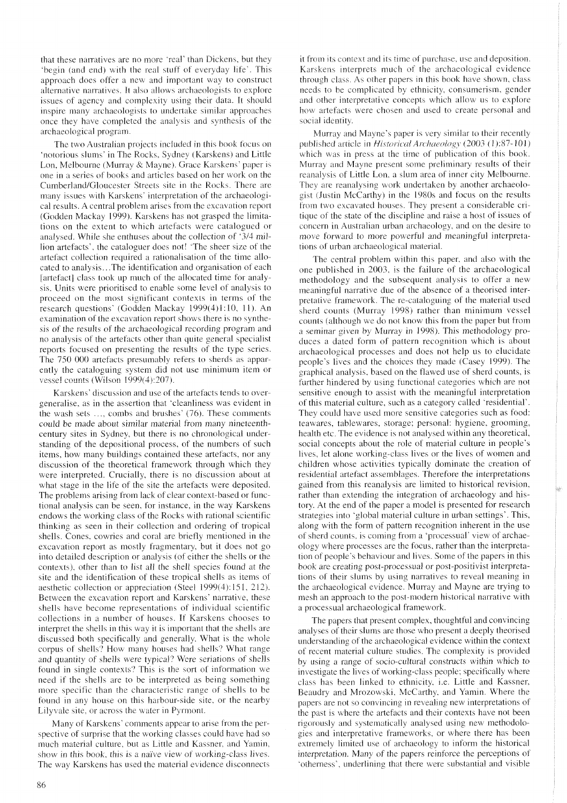that these narratives are no more 'real' than Dickens, but they 'begin (and end) with the real stuff of everyday life'. This approach does offer a new and important way to construct alternative narratives. It also allows archaeologists to explore issues of agency and complexity using their data. It should inspire many archaeologists to undertake similar approaches once they have completed the analysis and synthesis of the archaeological program.

The two Australian projects included in this book focus on 'notorious slums' in The Rocks, Sydney (Karskens) and Little Lon, Melbourne (Murray & Mayne). Grace Karskens' paper is one in a series of books and articles based on her work on the Cumberland/Gloucester Streets site in the Rocks. There are many issues with Karskens' interpretation of the archaeological results. A central problem arises from the excavation report (Godden Mackay 1999). Karskens has not grasped the limitations on the extent to which artefacts were catalogued or analysed. While she enthuses about the collection of '3/4 million artefacts', the cataloguer does not! 'The sheer size of the artefact collection required a rationalisation of the time allocated to analysis...The identification and organisation of each [artefact] class took up much of the allocated time for analysis. Units were prioritised to enable some level of analysis to proceed on the most significant contexts in terms of the research questions' (Godden Mackay 1999(4)1:10, 11). An examination of the excavation report shows there is no synthesis of the results of the archaeological recording program and no analysis of the artefacts other than quite general specialist reports focused on presenting the results of the type series. The 750 000 artefacts presumably refers to sherds as apparently the cataloguing system did not use minimum item or vessel counts (Wilson 1999(4):207).

Karskens' discussion and use of the artefacts tends to overgeneralise, as in the assertion that 'cleanliness was evident in the wash sets ..., combs and brushes' (76). These comments could be made about similar material from many nineteenthcentury sites in Sydney, but there is no chronological understanding of the depositional process, of the numbers of such items, how many buildings contained these artefacts, nor any discussion of the theoretical framework through which they were interpreted. Crucially, there is no discussion about at what stage in the life of the site the artefacts were deposited. The problems arising from lack of clear context-based or functional analysis can be seen, for instance, in the way Karskens endows the working class of the Rocks with rational scientific thinking as seen in their collection and ordering of tropical shells. Cones, cowries and coral are briefly mentioned in the excavation report as mostly fragmentary, but it does not go into detailed description or analysis (of either the shells or the contexts), other than to list all the shell species found at the site and the identification of these tropical shells as items of aesthetic collection or appreciation (Steel 1999(4):151, 212). Between the excavation report and Karskens' narrative, these shells have become representations of individual scientific collections in a number of houses. If Karskens chooses to interpret the shells in this way it is important that the shells are discussed both specifically and generally. What is the whole corpus of shells? How many houses had shells? What range and quantity of shells were typical? Were seriations of shells found in single contexts? This is the sort of information we need if the shells are to be interpreted as being something more specific than the characteristic range of shells to be found in any house on this harbour-side site, or the nearby Lilyvale site, or across the water in Pyrmont.

Many of Karskens' comments appear to arise from the perspective of surprise that the working classes could have had so much material culture, but as Little and Kassner, and Yamin, show in this book, this is a naïve view of working-class lives. The way Karskens has used the material evidence disconnects it from its context and its time of purchase, use and deposition. Karskens interprets much of the archaeological evidence through class. As other papers in this book have shown, class needs to be complicated by ethnicity, consumerism, gender and other interpretative concepts which allow us to explore how artefacts were chosen and used to create personal and social identity.

Murray and Mayne's paper is very similar to their recently published article in *Historical Archaeology* (2003 (1):87-101) which was in press at the time of publication of this book. Murray and Mayne present some preliminary results of their reanalysis of Little Lon, a slum area of inner city Melbourne. They are reanalysing work undertaken by another archaeologist (Justin McCarthy) in the 1980s and focus on the results from two excavated houses. They present a considerable critique of the state of the discipline and raise a host of issues of concern in Australian urban archaeology, and on the desire to move forward to more powerful and meaningful interpretations of urban archaeological material.

The central problem within this paper, and also with the one published in 2003, is the failure of the archaeological methodology and the subsequent analysis to offer a new meaningful narrative due of the absence of a theorised interpretative framework. The re-cataloguing of the material used sherd counts (Murray 1998) rather than minimum vessel counts (although we do not know this from the paper but from a seminar given by Murray in 1998). This methodology produces a dated form of pattern recognition which is about archaeological processes and does not help us to elucidate people's lives and the choices they made (Casey 1999). The graphical analysis, based on the flawed use of sherd counts, is further hindered by using functional categories which are not sensitive enough to assist with the meaningful interpretation of this material culture, such as a category called 'residential'. They could have used more sensitive categories such as food: teawares, tablewares, storage; personal: hygiene, grooming, health etc. The evidence is not analysed within any theoretical, social concepts about the role of material culture in people's lives, let alone working-class lives or the lives of women and children whose activities typically dominate the creation of residential artefact assemblages. Therefore the interpretations gained from this reanalysis are limited to historical revision, rather than extending the integration of archaeology and history. At the end of the paper a model is presented for research strategies into 'global material culture in urban settings'. This, along with the form of pattern recognition inherent in the use of sherd counts, is coming from a 'processual' view of archaeology where processes are the focus, rather than the interpretation of people's behaviour and lives. Some of the papers in this book are creating post-processual or post-positivist interpretations of their slums by using narratives to reveal meaning in the archaeological evidence. Murray and Mayne are trying to mesh an approach to the post-modern historical narrative with a processual archaeological framework.

The papers that present complex, thoughtful and convincing analyses of their slums are those who present a deeply theorised understanding of the archaeological evidence within the context of recent material culture studies. The complexity is provided by using a range of socio-cultural constructs within which to investigate the lives of working-class people; specifically where class has been linked to ethnicity, i.e. Little and Kassner, Beaudry and Mrozowski, McCarthy, and Yamin. Where the papers are not so convincing in revealing new interpretations of the past is where the artefacts and their contexts have not been rigorously and systematically analysed using new methodologies and interpretative frameworks, or where there has been extremely limited use of archaeology to inform the historical interpretation. Many of the papers reinforce the perceptions of 'otherness', underlining that there were substantial and visible